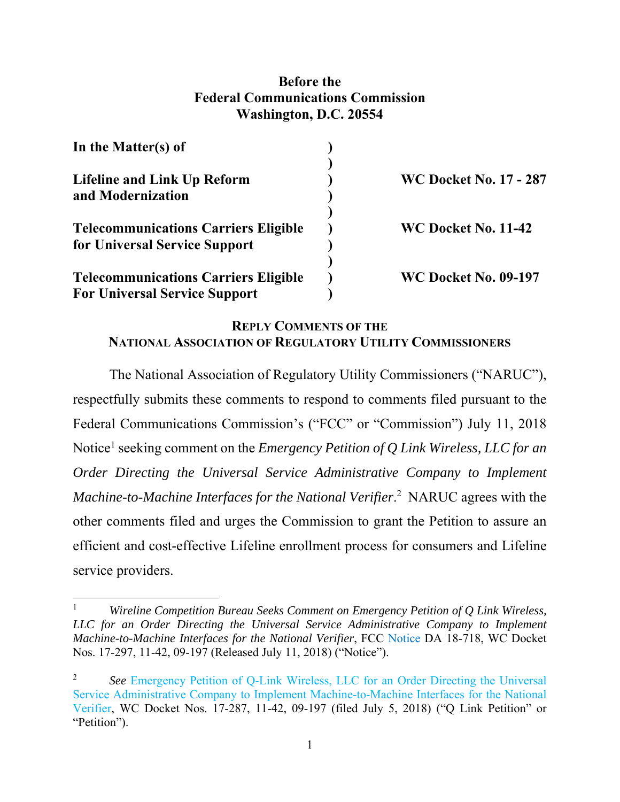## **Before the Federal Communications Commission Washington, D.C. 20554**

| In the Matter(s) of                                                                 |                               |
|-------------------------------------------------------------------------------------|-------------------------------|
| <b>Lifeline and Link Up Reform</b><br>and Modernization                             | <b>WC Docket No. 17 - 287</b> |
| <b>Telecommunications Carriers Eligible</b><br>for Universal Service Support        | WC Docket No. 11-42           |
| <b>Telecommunications Carriers Eligible</b><br><b>For Universal Service Support</b> | <b>WC Docket No. 09-197</b>   |

# **REPLY COMMENTS OF THE NATIONAL ASSOCIATION OF REGULATORY UTILITY COMMISSIONERS**

The National Association of Regulatory Utility Commissioners ("NARUC"), respectfully submits these comments to respond to comments filed pursuant to the Federal Communications Commission's ("FCC" or "Commission") July 11, 2018 Notice<sup>1</sup> seeking comment on the *Emergency Petition of Q Link Wireless, LLC for an Order Directing the Universal Service Administrative Company to Implement*  Machine-to-Machine Interfaces for the National Verifier.<sup>2</sup> NARUC agrees with the other comments filed and urges the Commission to grant the Petition to assure an efficient and cost-effective Lifeline enrollment process for consumers and Lifeline service providers.

<sup>1</sup> *Wireline Competition Bureau Seeks Comment on Emergency Petition of Q Link Wireless, LLC for an Order Directing the Universal Service Administrative Company to Implement Machine-to-Machine Interfaces for the National Verifier*, FCC Notice DA 18-718, WC Docket Nos. 17-297, 11-42, 09-197 (Released July 11, 2018) ("Notice").

<sup>2</sup> *See* Emergency Petition of Q-Link Wireless, LLC for an Order Directing the Universal Service Administrative Company to Implement Machine-to-Machine Interfaces for the National Verifier, WC Docket Nos. 17-287, 11-42, 09-197 (filed July 5, 2018) ("Q Link Petition" or "Petition").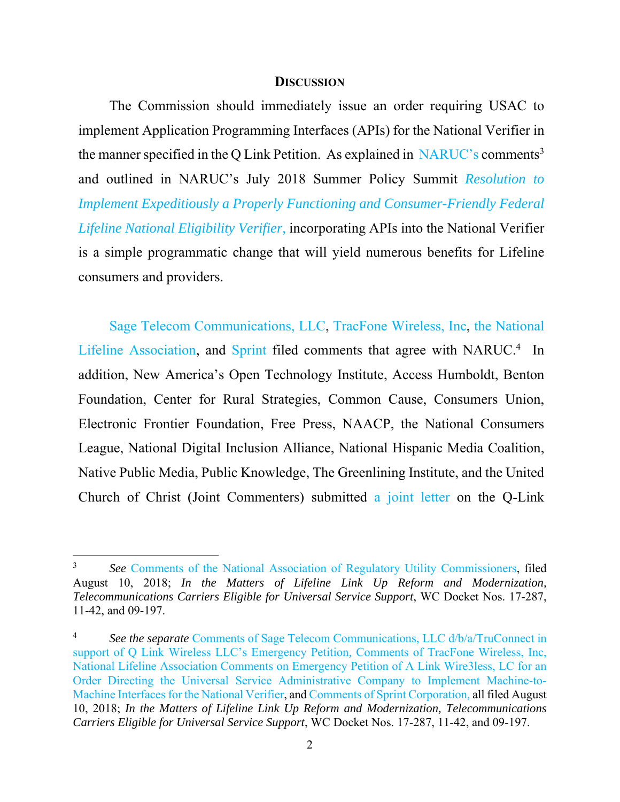#### **DISCUSSION**

The Commission should immediately issue an order requiring USAC to implement Application Programming Interfaces (APIs) for the National Verifier in the manner specified in the Q Link Petition. As explained in  $NARUC$ 's comments<sup>3</sup> and outlined in NARUC's July 2018 Summer Policy Summit *Resolution to Implement Expeditiously a Properly Functioning and Consumer-Friendly Federal Lifeline National Eligibility Verifier,* incorporating APIs into the National Verifier is a simple programmatic change that will yield numerous benefits for Lifeline consumers and providers.

Sage Telecom Communications, LLC, TracFone Wireless, Inc, the National Lifeline Association, and Sprint filed comments that agree with NARUC.<sup>4</sup> In addition, New America's Open Technology Institute, Access Humboldt, Benton Foundation, Center for Rural Strategies, Common Cause, Consumers Union, Electronic Frontier Foundation, Free Press, NAACP, the National Consumers League, National Digital Inclusion Alliance, National Hispanic Media Coalition, Native Public Media, Public Knowledge, The Greenlining Institute, and the United Church of Christ (Joint Commenters) submitted a joint letter on the Q-Link

<sup>3</sup> *See* Comments of the National Association of Regulatory Utility Commissioners, filed August 10, 2018; *In the Matters of Lifeline Link Up Reform and Modernization, Telecommunications Carriers Eligible for Universal Service Support*, WC Docket Nos. 17-287, 11-42, and 09-197.

<sup>4</sup> *See the separate* Comments of Sage Telecom Communications, LLC d/b/a/TruConnect in support of Q Link Wireless LLC's Emergency Petition*,* Comments of TracFone Wireless, Inc, National Lifeline Association Comments on Emergency Petition of A Link Wire3less, LC for an Order Directing the Universal Service Administrative Company to Implement Machine-to-Machine Interfaces for the National Verifier, and Comments of Sprint Corporation*,* all filed August 10, 2018; *In the Matters of Lifeline Link Up Reform and Modernization, Telecommunications Carriers Eligible for Universal Service Support*, WC Docket Nos. 17-287, 11-42, and 09-197.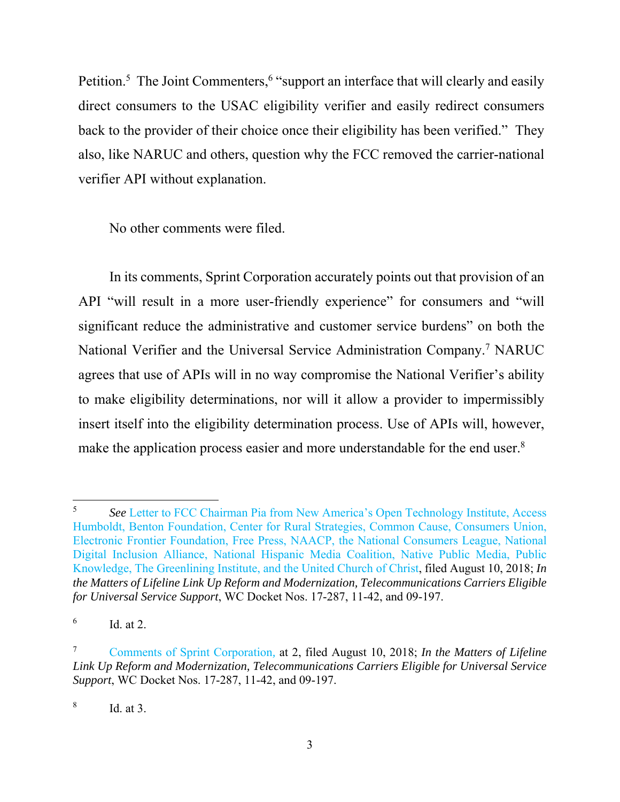Petition.<sup>5</sup> The Joint Commenters,<sup>6</sup> "support an interface that will clearly and easily direct consumers to the USAC eligibility verifier and easily redirect consumers back to the provider of their choice once their eligibility has been verified." They also, like NARUC and others, question why the FCC removed the carrier-national verifier API without explanation.

No other comments were filed.

In its comments, Sprint Corporation accurately points out that provision of an API "will result in a more user-friendly experience" for consumers and "will significant reduce the administrative and customer service burdens" on both the National Verifier and the Universal Service Administration Company.<sup>7</sup> NARUC agrees that use of APIs will in no way compromise the National Verifier's ability to make eligibility determinations, nor will it allow a provider to impermissibly insert itself into the eligibility determination process. Use of APIs will, however, make the application process easier and more understandable for the end user.<sup>8</sup>

 5 *See* Letter to FCC Chairman Pia from New America's Open Technology Institute, Access Humboldt, Benton Foundation, Center for Rural Strategies, Common Cause, Consumers Union, Electronic Frontier Foundation, Free Press, NAACP, the National Consumers League, National Digital Inclusion Alliance, National Hispanic Media Coalition, Native Public Media, Public Knowledge, The Greenlining Institute, and the United Church of Christ, filed August 10, 2018; *In the Matters of Lifeline Link Up Reform and Modernization, Telecommunications Carriers Eligible for Universal Service Support*, WC Docket Nos. 17-287, 11-42, and 09-197.

<sup>6</sup> Id. at 2.

<sup>7</sup> Comments of Sprint Corporation*,* at 2, filed August 10, 2018; *In the Matters of Lifeline Link Up Reform and Modernization, Telecommunications Carriers Eligible for Universal Service Support*, WC Docket Nos. 17-287, 11-42, and 09-197.

<sup>8</sup> Id. at 3.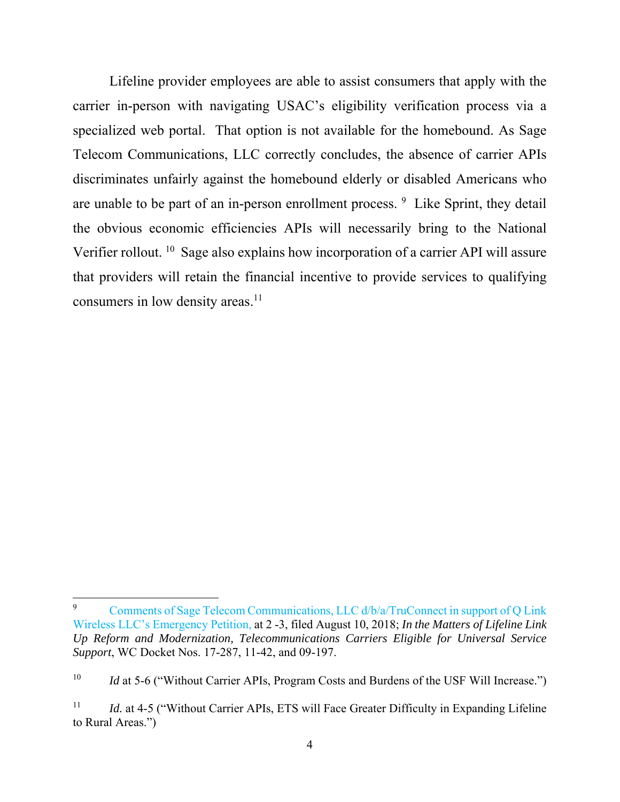Lifeline provider employees are able to assist consumers that apply with the carrier in-person with navigating USAC's eligibility verification process via a specialized web portal. That option is not available for the homebound. As Sage Telecom Communications, LLC correctly concludes, the absence of carrier APIs discriminates unfairly against the homebound elderly or disabled Americans who are unable to be part of an in-person enrollment process. <sup>9</sup> Like Sprint, they detail the obvious economic efficiencies APIs will necessarily bring to the National Verifier rollout. <sup>10</sup> Sage also explains how incorporation of a carrier API will assure that providers will retain the financial incentive to provide services to qualifying consumers in low density areas.<sup>11</sup>

<sup>9</sup> Comments of Sage Telecom Communications, LLC d/b/a/TruConnect in support of Q Link Wireless LLC's Emergency Petition, at 2 -3, filed August 10, 2018; *In the Matters of Lifeline Link Up Reform and Modernization, Telecommunications Carriers Eligible for Universal Service Support*, WC Docket Nos. 17-287, 11-42, and 09-197.

<sup>&</sup>lt;sup>10</sup> *Id* at 5-6 ("Without Carrier APIs, Program Costs and Burdens of the USF Will Increase.")

<sup>&</sup>lt;sup>11</sup> *Id.* at 4-5 ("Without Carrier APIs, ETS will Face Greater Difficulty in Expanding Lifeline to Rural Areas.")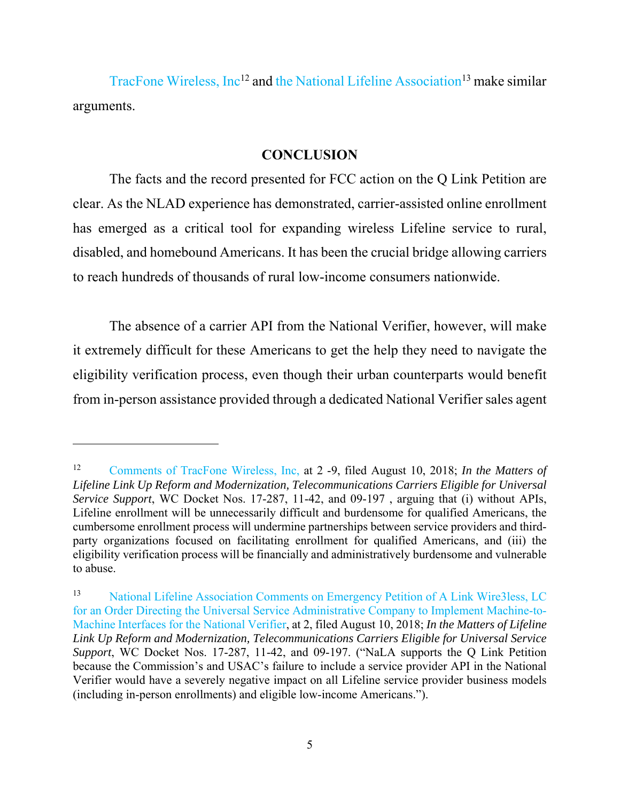TracFone Wireless, Inc<sup>12</sup> and the National Lifeline Association<sup>13</sup> make similar arguments.

### **CONCLUSION**

The facts and the record presented for FCC action on the Q Link Petition are clear. As the NLAD experience has demonstrated, carrier-assisted online enrollment has emerged as a critical tool for expanding wireless Lifeline service to rural, disabled, and homebound Americans. It has been the crucial bridge allowing carriers to reach hundreds of thousands of rural low-income consumers nationwide.

The absence of a carrier API from the National Verifier, however, will make it extremely difficult for these Americans to get the help they need to navigate the eligibility verification process, even though their urban counterparts would benefit from in-person assistance provided through a dedicated National Verifier sales agent

<sup>12</sup> Comments of TracFone Wireless, Inc, at 2 -9, filed August 10, 2018; *In the Matters of Lifeline Link Up Reform and Modernization, Telecommunications Carriers Eligible for Universal Service Support*, WC Docket Nos. 17-287, 11-42, and 09-197 , arguing that (i) without APIs, Lifeline enrollment will be unnecessarily difficult and burdensome for qualified Americans, the cumbersome enrollment process will undermine partnerships between service providers and thirdparty organizations focused on facilitating enrollment for qualified Americans, and (iii) the eligibility verification process will be financially and administratively burdensome and vulnerable to abuse.

<sup>13</sup> National Lifeline Association Comments on Emergency Petition of A Link Wire3less, LC for an Order Directing the Universal Service Administrative Company to Implement Machine-to-Machine Interfaces for the National Verifier, at 2, filed August 10, 2018; *In the Matters of Lifeline Link Up Reform and Modernization, Telecommunications Carriers Eligible for Universal Service Support*, WC Docket Nos. 17-287, 11-42, and 09-197. ("NaLA supports the Q Link Petition because the Commission's and USAC's failure to include a service provider API in the National Verifier would have a severely negative impact on all Lifeline service provider business models (including in-person enrollments) and eligible low-income Americans.").